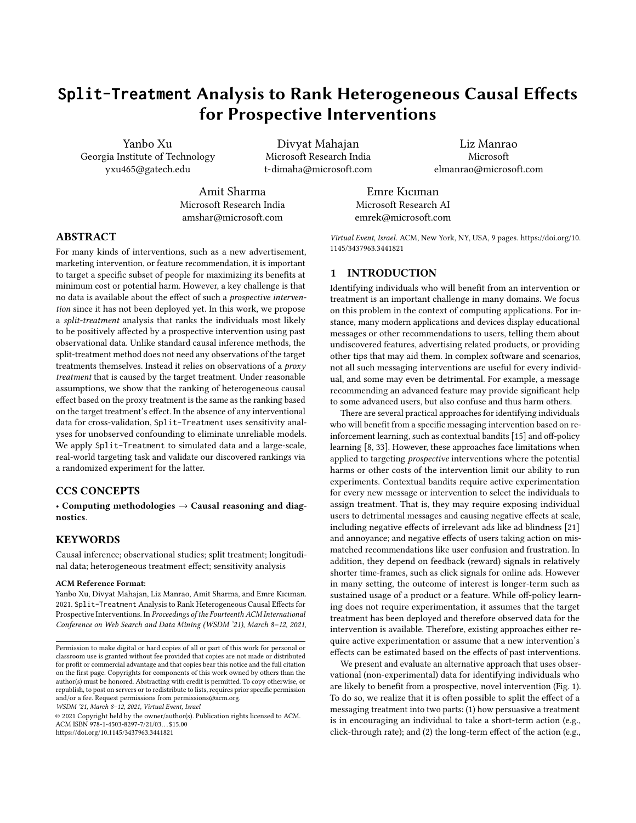# **Split-Treatment** Analysis to Rank Heterogeneous Causal Effects for Prospective Interventions

Yanbo Xu Georgia Institute of Technology yxu465@gatech.edu

Divyat Mahajan Microsoft Research India t-dimaha@microsoft.com

Liz Manrao Microsoft elmanrao@microsoft.com

Amit Sharma Microsoft Research India amshar@microsoft.com

Emre Kıcıman Microsoft Research AI emrek@microsoft.com

# ABSTRACT

For many kinds of interventions, such as a new advertisement, marketing intervention, or feature recommendation, it is important to target a specific subset of people for maximizing its benefits at minimum cost or potential harm. However, a key challenge is that no data is available about the effect of such a prospective intervention since it has not been deployed yet. In this work, we propose a split-treatment analysis that ranks the individuals most likely to be positively affected by a prospective intervention using past observational data. Unlike standard causal inference methods, the split-treatment method does not need any observations of the target treatments themselves. Instead it relies on observations of a proxy treatment that is caused by the target treatment. Under reasonable assumptions, we show that the ranking of heterogeneous causal effect based on the proxy treatment is the same as the ranking based on the target treatment's effect. In the absence of any interventional data for cross-validation, Split-Treatment uses sensitivity analyses for unobserved confounding to eliminate unreliable models. We apply Split-Treatment to simulated data and a large-scale, real-world targeting task and validate our discovered rankings via a randomized experiment for the latter.

# CCS CONCEPTS

• Computing methodologies  $\rightarrow$  Causal reasoning and diagnostics.

#### **KEYWORDS**

Causal inference; observational studies; split treatment; longitudinal data; heterogeneous treatment effect; sensitivity analysis

#### ACM Reference Format:

Yanbo Xu, Divyat Mahajan, Liz Manrao, Amit Sharma, and Emre Kıcıman. 2021. Split-Treatment Analysis to Rank Heterogeneous Causal Effects for Prospective Interventions. In Proceedings of the Fourteenth ACM International Conference on Web Search and Data Mining (WSDM '21), March 8–12, 2021,

WSDM '21, March 8–12, 2021, Virtual Event, Israel

© 2021 Copyright held by the owner/author(s). Publication rights licensed to ACM. ACM ISBN 978-1-4503-8297-7/21/03. . . \$15.00 <https://doi.org/10.1145/3437963.3441821>

Virtual Event, Israel. ACM, New York, NY, USA, [9](#page-8-0) pages. [https://doi.org/10.](https://doi.org/10.1145/3437963.3441821) [1145/3437963.3441821](https://doi.org/10.1145/3437963.3441821)

#### 1 INTRODUCTION

Identifying individuals who will benefit from an intervention or treatment is an important challenge in many domains. We focus on this problem in the context of computing applications. For instance, many modern applications and devices display educational messages or other recommendations to users, telling them about undiscovered features, advertising related products, or providing other tips that may aid them. In complex software and scenarios, not all such messaging interventions are useful for every individual, and some may even be detrimental. For example, a message recommending an advanced feature may provide significant help to some advanced users, but also confuse and thus harm others.

There are several practical approaches for identifying individuals who will benefit from a specific messaging intervention based on reinforcement learning, such as contextual bandits [\[15\]](#page-8-1) and off-policy learning [\[8,](#page-8-2) [33\]](#page-8-3). However, these approaches face limitations when applied to targeting *prospective* interventions where the potential harms or other costs of the intervention limit our ability to run experiments. Contextual bandits require active experimentation for every new message or intervention to select the individuals to assign treatment. That is, they may require exposing individual users to detrimental messages and causing negative effects at scale, including negative effects of irrelevant ads like ad blindness [\[21\]](#page-8-4) and annoyance; and negative effects of users taking action on mismatched recommendations like user confusion and frustration. In addition, they depend on feedback (reward) signals in relatively shorter time-frames, such as click signals for online ads. However in many setting, the outcome of interest is longer-term such as sustained usage of a product or a feature. While off-policy learning does not require experimentation, it assumes that the target treatment has been deployed and therefore observed data for the intervention is available. Therefore, existing approaches either require active experimentation or assume that a new intervention's effects can be estimated based on the effects of past interventions.

We present and evaluate an alternative approach that uses observational (non-experimental) data for identifying individuals who are likely to benefit from a prospective, novel intervention (Fig. [1\)](#page-1-0). To do so, we realize that it is often possible to split the effect of a messaging treatment into two parts: (1) how persuasive a treatment is in encouraging an individual to take a short-term action (e.g., click-through rate); and (2) the long-term effect of the action (e.g.,

Permission to make digital or hard copies of all or part of this work for personal or classroom use is granted without fee provided that copies are not made or distributed for profit or commercial advantage and that copies bear this notice and the full citation on the first page. Copyrights for components of this work owned by others than the author(s) must be honored. Abstracting with credit is permitted. To copy otherwise, or republish, to post on servers or to redistribute to lists, requires prior specific permission and/or a fee. Request permissions from permissions@acm.org.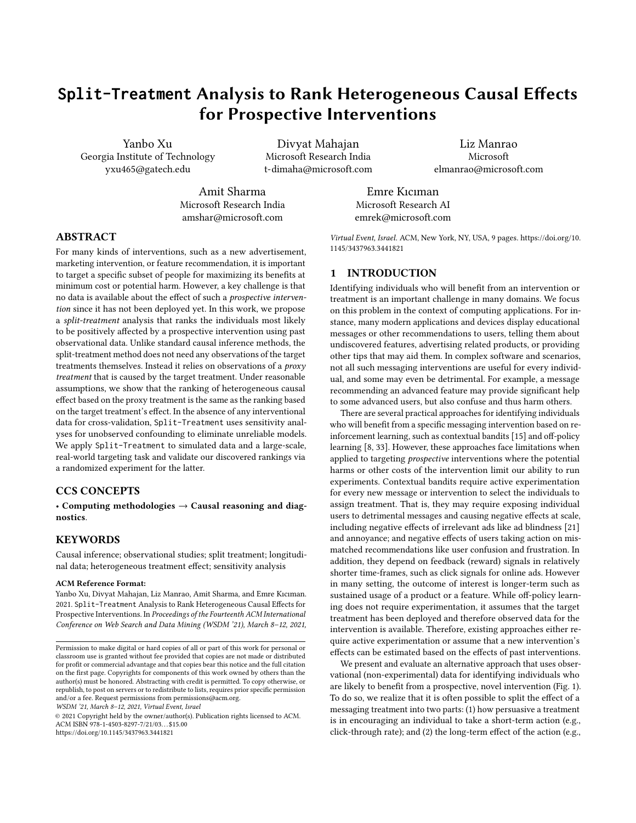sustained usage of the product). While we cannot know the first part of our split-effect without performing the prospective intervention, we can identify the second part of our split-effect when the action we are encouraging people to take has been performed by others in our non-experimental data. We show that, in many situations, this is sufficient for ranking individuals most likely to benefit from the otherwise novel intervention. Beyond this analytical approach, we make the additional contribution of demonstrating how challenges that commonly threaten the validity of observational studies can be addressed in this setting through the careful application of refutation and sensitivity analyses [\[29\]](#page-8-5).

We apply Split-Treatment to estimate the heterogeneous causal effect of a novel messaging intervention in a large application suite. Each messaging intervention, Z, is a recommendation for a feature, A. The outcome of interest is the feature's long-term adoption, Y. Our method enables ranking of individuals based on the estimated effect of the intervention. We implement methods for causal effect estimation based on inverse propensity weighting and machine learning models like random forests and CNN, and use sensitivity analysis to arrive at robust models. Finally, we validate these models based on a randomized experiment and demonstrate that our methods and sensitivity analyses correctly identify, a priori the most accurate of the ranking models. We make 3 contributions:

- (1) Split-Treatment: We propose an identification technique for ranking the effect of a prospective treatment without any access to the data with the treatment. We contrast our approach with instrumental variable and front-door analyses that require observed data for the treated population.
- (2) Sensitivity Analysis: How can we practically check the assumptions and ensure reliable conclusions from our observational data? We show how to adapt sensitivity methods for this problem and demonstrate that their violations correlate with empirical errors.
- (3) Validation through Active Experiments : We validate our conclusions using an A/B experiment of recommendation efficacy for a feature on over 1M users. Our findings show that Split-Treatment rankings of the individuals that are most likely to benefit from the recommended message match the results from A/B experiments.

#### 2 BACKGROUND AND RELATED WORK

#### 2.1 Causal analysis

Conventionally, the problem of showing recommended items to people is considered an outcome prediction problem: what would be the predicted outcome (e.g., rating) for an item by an individual? Based on this prediction, a ranked list of recommended items is shown to the individual [\[31\]](#page-8-6). However, recent work [\[26,](#page-8-7) [28\]](#page-8-8) frames recommendation as a causal inference problem: what is the effect on the outcome (e.g., usage metrics) of showing a recommended item to an individual? Rather than simply verifying if a person achieves the predicted outcome metric, it is important to understand if the desired outcome was achieved because of the recommendation. If the outcome would have been the same without the recommendation, then it does not have a causal effect on the outcome.

One of the fundamental challenges in causal analysis is we only observe one of the outcomes: either an intervention was shown,

<span id="page-1-0"></span>

Figure 1: The goal is to estimate the effect of a prospective treatment that is never observed. **Split-Treatment** uses a proxy treatment A that lies on the causal path between Z and  $Y$ . Observed variables  $(X)$  confound the effect of  $A$  on  $Y$ (and possibly also  $Z$ 's effect). Under proper assumptions, individuals for which the proxy treatment has a positive effect will also have a positive effect to the target treatment.

or not. Following the Structural Causal Model (SCM) described in [\[17,](#page-8-9) [18\]](#page-8-10), we can define the interventions and counterfactuals through a mathematical operator called  $d\rho(z)$ :  $Y|d\rho(z = 1)$  refers to the outcome measure had intervention (or treatment) Z been enforced, and  $Y | d\omega (z = 0)$  refers to the outcome had there been no treatment. The causal effect of treatment Z is:

Causal Effect = 
$$
E[Y|do(z = 1)] - E[Y|do(z = 0)]
$$
:

To address the causal question, one needs to account for *confounding* in the observed data. Formally, confounding is due to the intervention (recommendation) and outcome having common causes. In addition, we expect a treatment to have varying effects across individuals. There is recent research [\[6,](#page-8-11) [11,](#page-8-12) [16,](#page-8-13) [35\]](#page-8-14) on how to estimate heterogeneous causal effect for different subgroups, known as the Conditional Average Treatment Effect (CATE). In the limit, we may consider the causal effect for each individual, known as the Individual Treatment Effect (ITE) [\[27\]](#page-8-15). We extend this line of work by proposing a method to rank causal effect for prospective treatments, for which we have no data as yet.

That said, since counterfactual outcomes are never observed simultaneously, evaluating a causal estimate is non-trivial. Unlike prediction, it is not possible to validate a causal effect estimate based only on observed outcomes. Typically, any causal estimation method makes certain assumptions on the counterfactuals and their robustness depends on how plausible those assumptions are. There is past work on validating assumptions of causal models to the extent possible, often by exploring the sensitivity of the obtained estimate to unobserved variables [\[7,](#page-8-16) [24,](#page-8-17) [25\]](#page-8-18). We utilize sensitivity analyses to rank different candidate methods for causal estimation.

#### 2.2 Effects of Ads or Recommendations

Previous work for identifying individuals who will benefit from messages, ads, or recommendations mainly fall into two groups. The first group of work [\[13,](#page-8-19) [22,](#page-8-20) [32,](#page-8-21) [37\]](#page-8-22) rely on campaign studies to analyze the effect of the known treatment ads through A/B testing or reinforcement learning-based methods like contextual bandits [\[12,](#page-8-23) [15,](#page-8-1) [34\]](#page-8-24) that target treatment to specific individuals during an experiment. Brodersen et al. [\[4\]](#page-8-25) applies Bayesian structural time-series models to infer causal impact of market interventions on an outcome metric over time. They illustrate the statistical properties of posterior inference on simulated data, and demonstrate their approach practically in an online ad campaign. Wang et al.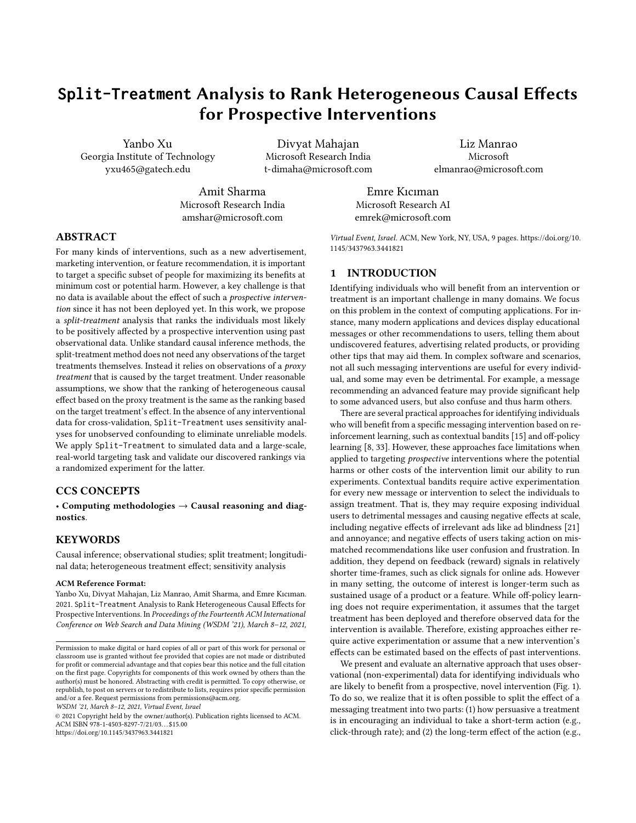paign data, such as measuring the impact of ads with di erent frequencies rather than of the randomized binary ads exposures. identi cation criterion (De nition 3.3.3, Pear[\[18\]](#page-8-10)), however the They employ tree structure in modeling the complex treatment propensities for achieving robust and unbiased estimations. Li and Pearl[\[14](#page-8-27)] integrates both experimental data and observational data, using Pearl's structural causal model of to formulate a unit selection problem that aims to identify a set of individuals who would most likely respond positively to the ads in short term 38 targets for long-term outcomes by identifying a surrogate index in the short-term campaign data to impute the potential long-term values. Our work diers from these previous analysis of the causal impact of ads campaigns in that we are trying to predict the impact of an advertisementbeforestarting a campaign.

The second group of work do not require treatment ads to be randomized, but need them exposed in the data, and then adjust Proof.For any set of nodes, R, S and T, the rules of the doselection bias in such observational data. For example, Chan et al . calculus [17] can be written as (whereGB•B denotes the graph [\[5\]](#page-8-30) utilizes doubly robust methods to evaluate the e ectiveness of online ads from large observational data, and validates results using simulations based on realistic scenarios. Gordon e[t a](#page-8-31)ll assesses empirically how the variation in data availability can a ect the ability of observational methods to recover the causal e ects of online advertising learnt from randomized trials. Our work diers from these observational studies in that we estimate the impact of a prospective message that does not exist in the current data.

### 3 IDENTIFICATION BY SPLIT-TREATMENT

In this section we describe how the plit-Treatment method can identify the ranking of individuals most likely to benet from a novel treatment or recommendation. Supposes the prospective treatment of interest and is the outcome we aim to measure its e ect on. If we run an A/B experiment where half of the population is treated withZ, then we can assess the conditional average treat- Using the above theorem, for individuals characterized by we ment e ect (CATE) of z within a subpopulation G by taking the di erence between the two outcome means respectively measured in the treatment and control groups:

$$
CATE_{G}^{Z^{0}} = E_{G_{Z=1}} W j Z = 1\% E_{G_{Z=0}} W j Z = 0\% \tag{1}
$$

However, our observational data does not contain the prospective (target) treatmenZ, as it has not been deployed yet. To achieve the goal, we propose splitting the target treatment's e ect into two parts. The rst part is the e ect of the target treatment on some short-term user behavior, such as the rst immediate action encouraged by the treatme $\vec{a}$ . The second part is the eect of this immediate actionA on the outcome measure that we are optimizing. The requirements for our choice of are: (1) The e ect of  $Z$  on  $Y$  should be mediated through. That is, $Z$  does not directly a ect the outcome; ( $2\overline{Z}$  does (or would) e ect the use  $\sigma f$ , (3)A exists, with some natural variation, in our observational logs.

Note that the rst two requirements are exactly the requirements for a valid instrumental variable (exclusion and relevan@) [except in this case $Z$  is not observed. In addition, needs not to be a valid instrumental variable. It may be caused by the same variables that confound the e ect ofA on Y (however there cannot be any unobserved common cause farandA). For example, the prospective

[\[36](#page-8-26)] enables analysis for more complex ad treatments using cam-intervention may be assigned based on the features of each individual. The causal graph from F[ig.](#page-1-0) 1 is also similar to the front-door criterion cannot be directly applied since is unobserved. Instead we use the following assumptions to useas a proxy for ranking the most promising individuals for assigning the target treatment. Assumption 1 (Ignorability): There exists no unobserved confounding between the proxy treatment and the outcome measure Y: P'Yjdo'a<sup>o</sup>;  $x^0 = P'Y$ ja;  $x^0$ , for some observed variables. Theorem 3.1. Under the causal grap<sup>G</sup> from Figure 1 and given Assumption 1, the post-intervention distribution of resulting from the interventiondo<sup>1</sup> $z^{\circ}$  conditional onx can be identi ed as,

$$
P'Yjdo'z^{o}; x^{o} = \n\begin{array}{c}\n\bullet \\
P'ajz; x^{o}P'Yja; x^{o}:\n\\
a\n\end{array}
$$

by deleting fromG all arrows pointing to/emerging from the set of nodesB respecively).

Rule 2: P'Yjdo'r*'*°;do'sº;t'<sup>o</sup> = P'Yjdo'r'°;s;t'', if 'Y ? SjR;T''<sub>G  $_{\rm \overline{R};S}$ ;</sub> Rule 3: P'Yjdo'r*'*°;do's°;t'° = P'Yjdo'r'°;t'°, if 'Y ? SjR;T'°<sub>G ह;S'T''</sub>, where $\text{ST}^\text{o}$  are theS-nodes that are not ancestors  $\overline{\textbf{b}}$ fin G $_{\overline{\text{R}}}$ .

$$
P'Yjdo'zo; xo = P'ajdo'zo; xoP'Yjdo'zo; a; xo
$$
  
= P'ajz; x<sup>o</sup>P'Yjdo'z<sup>o</sup>; do'a<sup>o</sup>; x<sup>o</sup> ... UsingRule 2  
= P'ajz; x<sup>o</sup>P'Yjdo'a<sup>o</sup>; x<sup>o</sup> ... UsingRule 3  
= P'ajz; x<sup>o</sup>P'Yja; x<sup>o</sup> ... UsingAssumption 1

can write their individualized treatment e ect (ITE)  $d\vec{l}$  as,

$$
ITE12^{\circ}1}x^0 = E\mathscr{W}j d0^1 z = 1^{\circ}; x \mathscr{V} A = \mathscr{W}j d0^1 z = 0^{\circ}; x \mathscr{V} A
$$
 (2)  

$$
= \begin{bmatrix} P1a = 1 j z = 1; x^0 & P1a = 1 j z = 0; x^0 \\ \{z \} & \text{Compliance} \\ \text{1}^{\circ}E\mathscr{W}j a = 1; x \mathscr{V} A = \mathscr{W}j a = 0; x \mathscr{V} A : \\ \{z \} & \text{1}^{\circ}TE^{12^{\circ}1}x^0 \end{bmatrix}
$$

While we cannot identify the rst term, Compliancex<sup>o</sup>, as Z does not exist in our data, we can still estimate E<sup>1a°</sup> from the observational data. If we take the group containing the most e ective individuals to the proxy treatmenA to be the same group of the most promising individuals to the target treatment, we can derive another format of Eq. (1) based on Eq. (2) into the following:

$$
CATEG12o = Ex 2G ITE12o1xo
$$
 (3)  
\n/ E<sub>x 2G</sub> ITE<sup>1a<sup>o</sup>1x<sup>o</sup> ; for E<sub>x 2G</sub> Compliancéx<sup>o</sup> > 0</sup>

Assumption 2 (Compliance): We assume the target treatment has a positive average e ect to encourage the proxy treatment within the selected group containing the most e ective individuals to A. That is,  $E_{x 2G}$ <sup> $p q a = 1$ jz = 1; x<sup>o</sup>  $P^1 a = 1$ jz = 0; x<sup>o</sup>1/ $\ge 0$ .</sup>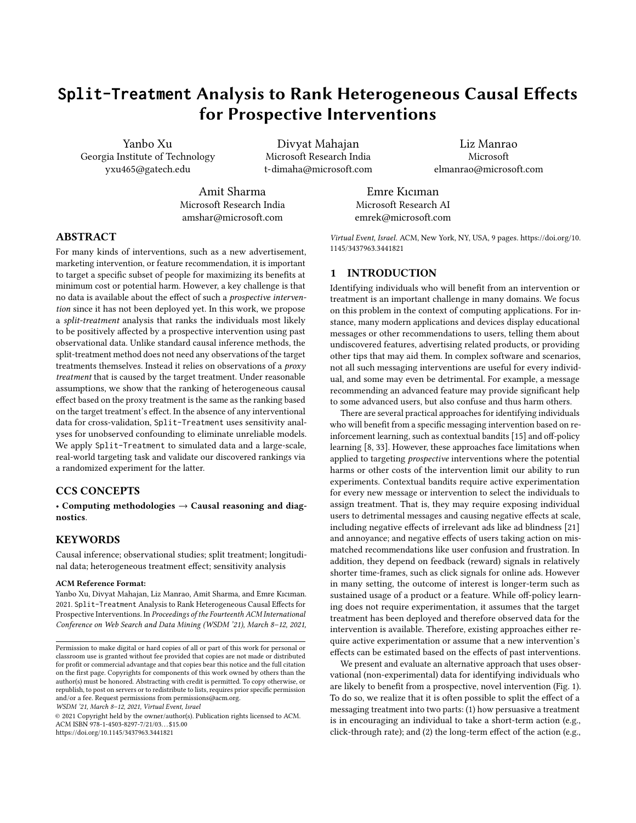Figure 2: An end-to-end analysis pipeline of using Split-Treatment in feature recommendation. Validation is added only if experimental data having Z is available.

We cannot test this assumption in observational data due to the absence oZ, so we must use external domain knowledge to ensure that the assumption is satis ed.

# 4 ESTIMATION USING SPLIT-TREATMENT

The key challenge in feature recommendation, such as marketing software features to existing users, is to identify who would benet from using a feature. Here, we show ho&plit-Treatment can be used to rank individuals using only observational data.

Following the formulation ofSplit-Treatment in Eq. (3), we say the target treatmen $\mathbb Z$  is the given message recommending a software feature. We pick the proxy treatment to be an individual's rst trial of the feature from a target group that is assumed to have positive comparable compliance $Z$ o and we de ne the outcome measure to be an observation that the individual is receiving bene t fromA. In our analysis,Y is sustained usage of the recommended feature measured in a post-treatment window, indicating the individual found the feature useful enough to keep engaging with it. Other examples (not included in this paper) include proactive churn management, where the target treatments a price discount given to the existing subscribers, the outcome measureY is long-term (e.g., three or ve years) revenue; we can pick the proxy treatmentA to be a subscriber's continuous subscription.

We split the treatment e ect, use only observational data to learn the ITE functionITE<sup>1a°</sup> for treatmentA, and rank the individuals characterized byx's as the most likely to keep using the feature if they have tried it now. We select the top K individuals into the recommendation group. By making the assumption that a welldesigned message will encourage these individuals to try out the product (i.e., positive compliance  $\mathbf{\hat{a}}$  fo  $Z$  in the selected group), we claim that the individuals in groupG are most likely to be positively a ected by the recommendation such that they will use the feature and sustain using it once they got exposed.

Our end-to-end observational analysis and validation pipeline is shown in Figure 2. First, we collect and analyze observational data containing the proxy treatmena; we use this to estimate the function ITE<sup>'a°</sup>. Using this ITE function, we rank individuals by the e ect that A (and thus in turn, Z) will have on them. In our analysis of this data, we might use di erent algorithms, and even di erent feature sets. Second, we test our causal assumptions through sensitivity analyses. These help us eliminate the analysis design that appears to be unreliable. Finally, in our validation stage, we use experimental data to check that onplit-Treatment observational analysis has correctly identi ed the recommendation group G. Note that in practice, experimental data for validation will not be available for all prospective treatments. As we will show

Figure 3: Data timeline in observational and experimental regimes

in the empirical analysis, sensitivity analyses can be useful to eliminate unreliable models in the absence of experimental validation (or when experiments are available only for a limited number of interventions). Below we provide further details of the three major components in the pipeline.

#### Step 1. Data preprocessing and set up

Given a cohort of users, we divide the observational data temporally into three windows. Observations made during pae-treatment windowprovide a behavioral baseline of use%)(We use thisX to address confounding. We look for observations of during the treatment windowlabeling a user as treated if we obserweand untreated otherwise. In thoost-treatment windowe measure the outcomeY that indicates a user has bene ted from the action

For target data that our proposed method will be deployed on, we will only need to extract the user feature's in the Pre-treatment window prior to the time point when the feature recommendation decision should be made. But for experimental data that we use for validation, we need to align the data timeline between the observational and experimental regimes. Instead of specifying a Treatment window, the experimental data has **annonignal** windowduring which the ad treatmen $Z$  was randomly assigned and actively tested; the proxy treatment of the rst usage is also measured in this window. We exclude those users who still got exposed to the ad in the Post-campaign window and count the sustained usage Y in that window. The user features are again extracted from the Pre-Campaign window The three windows are aligned with the same length between the two regimes, as shown in Figure 3.

# Step 2. Estimating Individual Treatment E ects

The key challenge of estimating causal e ects from observational data is to adjust the factor**X** that can potentially confound the causal relationship between treatmeAtand outcome measure. Given unconfoundedness in Assumption 1, existing causal methods fall into three main categories: inverse probability of treatment weighting (IPTW) based methods that predicts propensity scores  $(P<sup>1</sup>a = 1|x<sup>0</sup>)$  to reweight individuals and obtain unbiased ATE estimates; g-formula based methods that predict the two arm potential outcomesE<sup>»y1a°</sup>jx¼for individuals and obtain unbiased ITE estimates; doubly robust methods that combine the two methods so that only one of the model need to be correctly specied. We develop a generic doubly robust framework in Dit-Treatment by tting a logistic regression model for generating propensity scores and using di erent machine learning techniques for estimating the potential outcomes. For predicting the amount of usage in the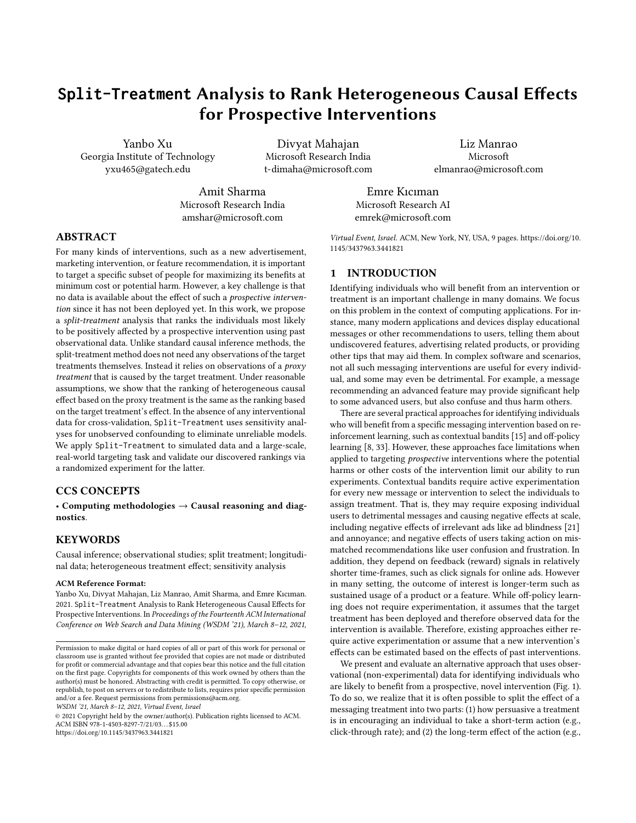post-treatment window, our regression choices include Poisson Re-outcome and the treatment. Let us denote the new confounder as gression, linear regression with Stochastic Gradient Descent, Fast U, treatment variable as and the outcome a¥. Intuitively, we Tree Regression, Fast Forest Regression, and a 2-layer Convoluchoose the degree of e ect of onY andA to a desired value, and tional Neural Network (CNN). These methods can be switched to then use Bayes Rule to obtain the distribution of suc**b** a classication models if the outcome measure is binary.

We de ne an outcome regression function :  $R<sup>K</sup>$  f 0, 1g ! R, whereK is the cardinality of the input featureX and treatmentA is considered binary, and compute ITE for an individual  $R^{\mathsf{K}}$  as

$$
1\hat{T}E^{1a^0}1x^0
$$
  $f 1x; a = 1^0$   $f 1x; a = 0^0$ : (4)

Given observational dat $\mathbf{\mathbf{D}}^{1n^{\circ}} = f^1 y_i$ ;  $x_i$ ; a<sub>i</sub>  $\int_{i=1}^{n} g_i$ , we can learnf by minimizing the following loss function

$$
\begin{array}{ll}\n\Phi & \text{w}_i \, L^1 y_i \, ; \, f \, \, {}^1x_i \, ; \, a_i \, {}^{00};\n\end{array} \tag{5}
$$

where L is either Poisson loss or mean squared error in the selected regression models; is the IPT weight computed from the predicted propensity score. Note that loss in Eq. (5) goes back to all the outcome samples using gaussian distribution as follows:<br>erding users science in the 1 and becomes no longer a squeel share it is a where N. are the ordinary regression loss  $\dot{w}_i$  1, and becomes no longer a causal model with confounding adjustments. In particular, we use the Stabilized IPTW [23] to compute the weight :

$$
w_{i} = a_{i} \frac{\mathbf{P}^{i} a_{i} = 1^{o}}{\mathbf{P}^{i} a_{i} = 1 j x_{i}^{o}} + 11 \quad a_{i}^{o} \frac{1}{1} \frac{\mathbf{P}^{i} a_{i} = 1^{o}}{\mathbf{P}^{i} a_{i} = 1 j x_{i}^{o}}.
$$
 (6)

#### Step 3. Sensitivity Analyses

In general, multiple treatment e ect estimation methods will provide varying results about the causal e ect. These can be due to faults in di erent parts of the analysis pipeline: mis-speci cation of the underlying causal model, due to errors in identi cation, or due to limits in estimation. Here we provide methods to evaluate the estimates returned by di erent methods. Note that similar to statistical hypothesis tests, the tests below can refute an estimator that may be unsuitable, but cannot nd the correct estimator. In other words, we can weed out some unreliable estimators, but cannot prove that a certain estimator is the closest to the true estimate.

We consider two testsplacebotest andunobserved-confounding test. In the rst, we introduce a random variable and rerun the analysis assuming it is the treatment variable [29]. Our expectation is that an estimator should return a zero causal e ect. To the extent that estimate varies signi cantly from zero, we can assess the bias of the estimator and prune out estimators that show substantial bias. In the unobserved-confounding test, we wish to estimate how sensitive the models are to the presence of unobserved confounders and the new estimate. Speci cally, we consider individuals whose In practice, it is plausible that some confounders were missed, so we would like to prefer methods whose estimates are relatively stable in the presence of new confounds, especially not vary substantially with small changes in confounding. To verify this, we add a new confounder to the feature set with varying degrees of its e ect on A and Y, and re-compute the causal e ect. While we expect the causal estimate to change as the degree of e ect of the confounder is increased, a better estimator is expected to be less sensitive to a 50-dimensional variabl&, from a multivariate normal distribusuch changes. Thus, we can rank estimators based on the variation tion with mean zero. We randomly assign them into 4 groups, and in their estimate for the same amount of confounder's e ect added.

pled from a Gaussian distribution and use the Bayes rule to arrive at the posterior distribution that shows correlation with both the

$$
P^1 U jY; A^0 = \frac{P^1 Y jU; A^0 P^1 U j A^0}{P^1 Y j A^0}
$$

Since we are interested in modeling the direct e ectlofon Y, we can ignore the causal association between and and obtain,

$$
P^1UjY; A^0 = \frac{P^1YjU^0p^1UjA^0}{P^1Y^0}
$$

For our experiments, we use a parametric form for the distributions. To implement the relationship between U and PAU jA<sup>o</sup>, we assume the following the gaussian prior  $\phi$ h U  $\,$  N<sup>1</sup> uju<sub>0</sub>; ); whereu<sub>0</sub> =  $+$  a, depending on a given realisation of treatment variableA = a and tunable parameters and . For the relationship between Y and U, we then de ne the likelihood of observing

 $\frac{N_a}{N_a}$ N<sup>1</sup>y<sub>i</sub> ju;  $\degree$  where N<sub>a</sub> are the total of data points with treat $mentA = a$ , and is a tunable parameter denoting the strength of e ect (higher corresponds to a weaker e ect of on Y). Substituting the gaussian prior and the likelihood, we obtain:

N<sup>1</sup>uju ; 
$$
o = \frac{\int_{i=1}^{1} N_a N^1 y_i ju; oo N^1 u ju_0; o}{\int_{i=1}^{N_a} N^1 y_i ju; odu}
$$
 (7)

Based on the above solution, we obtain,

 $\mathbf{u}$ 

$$
= \frac{u_0 + N_a \frac{1}{i-1} y_i}{N_a + 1} = \frac{1}{N_a + 1}
$$

Note that the posterior distribution  $N^1$ uju ;  $\cdot$  is dependent on the treatment value via $u_0 = +a$ . Hence, for each data point; we sample value for the new confounder from the posterior distribution corresponding to the particular treatment class. The mean of the posterior distribution is a weighted combination of the prior mean (dependent on treatment) and the average of outcome variables, which ensured is correlated with bothA andY.

Once the confounder is generated, we re-compute the estimate with this additional confounder and compare the estimate to its original value for each method. Since our goal is to select individuals for treatment (rather than estimating individual treatment e ect), we evaluate each method on what fraction of the individuals selected for treatment stay the same between the original estimate estimate was higher than the median in both analyses, and compute the number of common individuals between the two analyses.

### 5 SIMULATION

To implement the second test, we model the confounder as sam-outcomeY is 10 20 30 and 40 respectively in each group. Given We conduct a simulation study to demonstrate hopplit - Treatment can be used to rank the e ect of a target treatment that does not exist in the data. We simulat $eQ$  000individuals, characterized by assume that the ground truth CATE of target treatment on the each individualx, the outcome measure<sup>z=0</sup> with no treatment is generated from a linear model over (coe cients are integers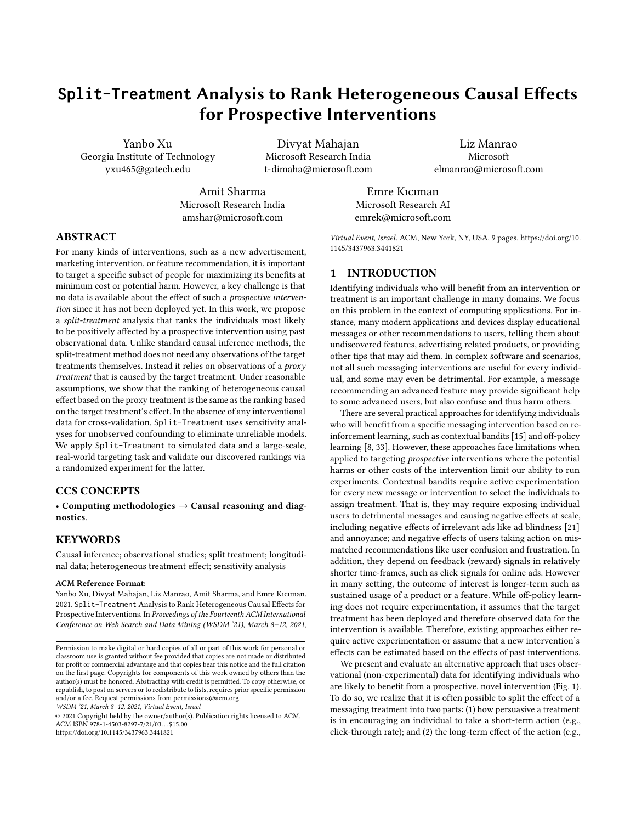Figure 4: Comparison between the ground-truth rank and the proxy-estimated rank in simulations with or without violations of the two assumptions made in Split-Treatment .

randomly picked from 0 to 4 with certain probabilities), and the outcome measur $\mathbf{Y}^{z=1}$  with treatment is generated by adding the assigned CATE value to the base measũfe<sup>0</sup>. Lastly, we generate a binary proxy treatmentA conditional onZ from a contingency table producing positive compliance for satisfying Assumption 2

The step function in Figure 4(a) shows the ground-truth ranking of CATE of the target treatmenZ. After maskingZ from the simulated data, we t a doubly robust model with outcome model being a linear regression (namely IPTW-LR), and obtain estimates of ITE for the proxy treatmentA. We rank the ITE estimates and group them into 4 equally sized buckets assigned to level 1 to 4. We com-6.1 Dataset pute the root mean squared error (RMSE) between the estimated rank and the ground truth rank. Figure 4(b) show the estimated ranks; the obtained RMSE for our IPTW-LR method is  $I^{\text{C}}_0$ .

Next we study how the estimation would be biased if we violated the two untestable assumptions made in Section 3. To create a dataset that violates Assumption 1, we introduce a confounding variableU N<sup>1</sup> 0; 1º, generate outcome measure<sup>z=0</sup> based on X concatenatingU, and then maskU from the data. We t the same model above, plot the estimated proxy rank in Figure 4(c) showing that it obtains a larger RMSE 0f3. Similarly, for violating Assumption 2, we manipulate the contingency table bigiven Z to produce negative compliance and t the same model to the new simulated data. We plot the estimated proxy rank in Figure 4(d) showing that rank was reversed and RMSE increases 8to This analysis shows the importance of the identifying assumptions (especially Assumption 2) for obtaining the correct estimate.

Finally, we demonstrate the value of sensitivity analysis for model elimination. Consider another doubly robust method that uses Support Vector Machine (SVM) as the outcome regression dood Support Youth Maching (SVM) as the substitute registed. Who are randomly exposed to the treatment but had not used (namely IPTW-SVM). We use the placebo and the unobserved confounder methods described in Section 4 to test sensitivities of the

Figure 5: Unobserved-confounding analysis. Comparing RMSE between estimated causal e ect with and without unobserved confounding, for two causal models. IPTW-LR is less sensitive to unobserved confounding. Box plots are for 5 runs with dierent degrees of confounding.

two methods. We nd that placebo test does not help us di erentiate between the two models, as both of them give high RMSEs (1:6 vs. 1:4 for IPTW-LR and IPTW-SVM respectively) which is expected due to the placebo treatment. We plot results from the unobserved confounder method in Figure 5, in which we vary the hyper parameters de ned in Eq. (7) for changing the amount of e ect from U to A and Y. Since ground-truth CATE is not available in practice, we compare the two models based on RMSEs between the estimatedproxy rank under the no-confounder case and those from 5 di erent simulations under the confounder case. IPTW-LR obtains lower empirical RMSE than IPTW-SVM and thus it is less sensitive (more robust) to the varying degrees of confounding. This result indicates the IPTW-LR should be chosen. Sensitivity analysis , therefore allows us to select between competing models for estimating CATE.

# 6 APPLICATION TO REAL-WORLD DATA

We apply our method to feature and product recommendations in a large software ecosystem. Feature and product recommendations are occasionally shown within the ecosystem as short, clickable messages that lead to web pages that educate individuals about features they already have access to in the ecosystem, and new software products that are available for download. We report on results studying a speci c product recommendation encouraging individuals to try a new software product. Prior to running a recommendation campaign, we analyze existing logged user data through theSplit-Treatment method to identify individuals most likely to bene t from the software product. In this scenario, the treatment is the message that encourages individuals to try the software. The Split-Treatment or proxy treatmentA is the individual's rst usage of the software during the treatment window. The outcomes sustained usage of the software during the post-treatment window.

We run our method on an observational data collected from 2:2M users within the ecosystem. For the purpose of validation, we ran a separated randomized experiment on another users the recommended software during the pre-campaign window. The campaign was run from March 29 to April 27 in 2019, during which 661%were randomly exposed to Exposure to the treatment encouraged the proxy treatmer as it caused a 7.5% increase in

<sup>&</sup>lt;sup>1</sup>Code for the simulation is provided at https://github.com/yanboxu/split-treatmentsimulation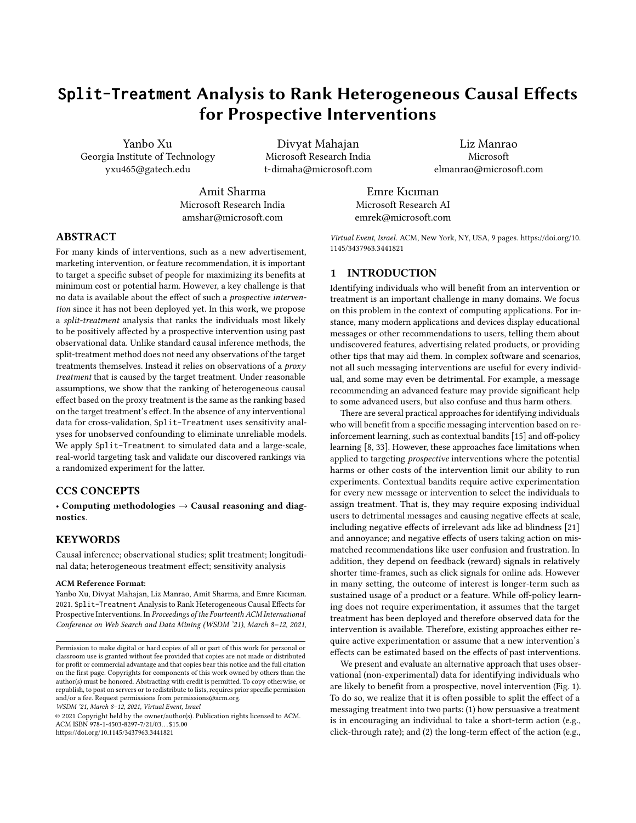software adoption. We align the timeline between the two datasets, take both pre-treatment and treatment window to be 30 days, and obtain the measure of sustained usage of the recommended software in varying from 0 to 30 days during the post-treatment window.

# 6.2 Feature extraction

We rst extract two sets of snapshots on each day within the pretreatment window. One snapshot containsfeatures summarizing the users' total usage in the past 4 weeks of di erent software within the ecosystem and collaboration patterns. The other contains 106of similar features but ner grained usage information from software ecosystem. As a result, we reach at two static feature sets, namel Features 25 and Features 106 by using only the last day's snapshots in the pre-treatment window; and two dynamic feature sets, namelFeatures25 Seq andFeatures106 Seq, by aggregating (i.e., taking average, min, max, number of increases and decreases) the 30 snapshots within the pre-treatment window.

### 6.3 Baselines and Algorithmic Details

Given each feature set, we explore the following models for outcome regression. Each of these models can be used in a causal modeplacebo-treatment test by replacing the proxy treatment in each addressing confounding issues through use of an IPTW adjustment, or in a predictive mode that does not do such adjustment. Model hyperparameters were tuned via grid search by splitting  $0\%$ validation set from the training data.

Fast-Tree Regression (FTR): An e cient tree regression with gradient boosting [20].

Fast-Forest Regression (FFR): An e cient random forest regression using the Fast-Tree learners.

Poisson Regression (PR): A linear regression with respect to minimizing Poisson loss instead of mean squared errors. Convolutional Neural Network (CNN): A 2-layer 1-D convolutional network with Poisson loss.

# 6.4 Results

6.4.1 Evaluation on propensity scoldes. build a logistic regression propensity model that predicts the likelihood that a user gets treated byA over each of the four feature sets respectively. For each propensity model, we discard the extreme propensity scores they generate that are below the01 quantile or above the0:99 quantile. Comparing the proxy treatment and control group distributions, we nd the two groups are well overlapped across all the four feature sets. The purpose of propensity score model is for ensuring balance of potential confounds. We compute the standardized mean dierences (SMD) [30] across the features in the proxy treatment and control groups to evaluate the balance. SMD calculates the divergence of the mean feature values between two groups as a fraction of the summed standard deviation of the two groups. To validate that our propensity weighting is reducing the confounding, we compare the computed SMDs before IPTW weighting and after. We nd that the SMDs are all reduced after weighting, indicating that IPTW is reducing confounding. Moreover, we nd that, with the and Features-106-Seq are all reduced to lower than considered a threshold for well-balanced covariates [10, 30].

Figure 6: RMSE of outcome predictions on target data from the baseline models over di erent feature sets; the range of the outcome measure Y varies from 0 to 30.

6.4.2 Evaluation on outcome predictiblow we evaluate how accurate the regression models listed in Section 6.3 can generalize their outcome predictions to an independent target dataset. In Figure 6, we see CNN models give the lowest RMSE across all the four feature sets while Poisson regression models give the highest error; all the other models perform similarly in between.

6.4.3 Model Elimination via Sensitivity Analysike rst try the dataset with a Bernoulli (p=0.5) random variable. We nd that all methods pass the test: no method reports an estimate signi cantly away from zero for a placebo treatment. For the second test on sensitivity of a method to unobserved confounding, we generate multiple runs over di erent con gurations of the hyperparameters

and in Eq. (7), as below. In choosing these hyper parameters, the goal is to generate a confounder variablesuch that it is correlated with bothA and Y. Di erent con qurations capture dierent degrees of this correlation, and thus confounding due to U.

Features-106:

```
: 105
, : 40* , Corr. T: 0.38, Corr. Y: 0.18
```

```
: 1\Phi, \, : 100* , Corr. T: 0.25, Corr. Y: 0.12
```
: 10<sup>3</sup>, : 1700\* , Corr. T: 0.53, Corr. Y: 0.25

Features-25:

: 1 $\Phi$ ,  $\,$  : 10\* , Corr. T: 0.49, Corr. Y: 0.18 : 1 $\Phi$ ,  $\div$  50\* , Corr. T: 0.22, Corr. Y: 0.08

: 10<sup>3</sup>, : 600\*, Corr. T: 0.58, Corr. Y: 0.22

exception of one feature, the SMDs of IPTW-weighted Features-106 observation is that models based on Features-106 are less sensitive We ensure that the correlations across the two feature sets, Features-106 andFeatures-25 are similar. Further, we only consider causal models for this analysis since the other methods do not account for confounding adjustment. Figure 7 shows the results across all three con gurations, by comparing the fraction of individuals who stay in the top-50 percentile ranking of e ect, even after adding the confounder. As reported in Section 4, methods that have a higher fraction of top-50 individuals that are consistent in the original data and the simulated data (with an additional confounder) are desirable. Note that we do expect that the estimates from each model will change: our goal is to nd the methods that change the least with the same amount of additional confounding introduced, and thus are likely to capture more stable relationships. Our rst to additional confounding than Features-25, except the IPTW-PR model. The two best models w.r.t. low sensitivity are IPTW-FFR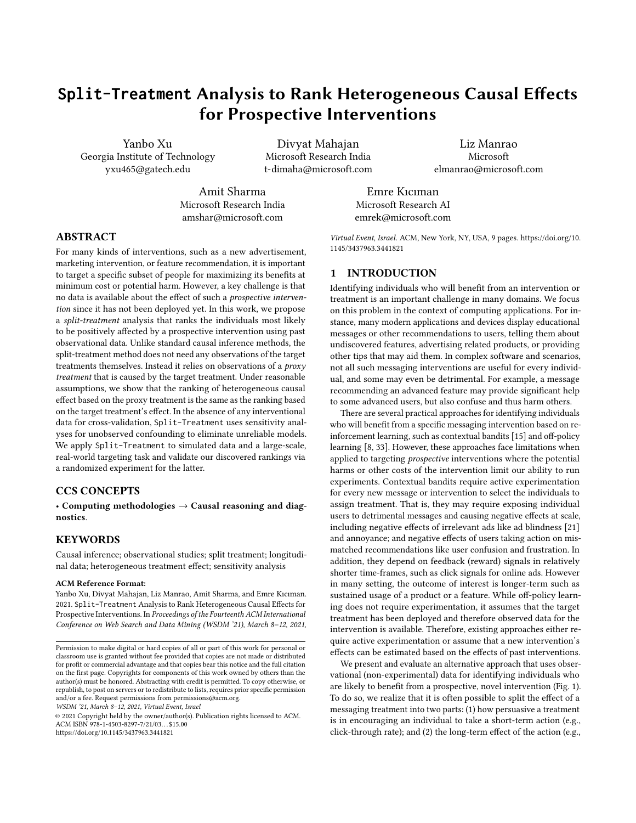

Figure 7: Sensitivity Analysis: Fraction of the top 50 percentile individuals that remain in the top 50-percentile after adding an unobserved confounder. Rankings from IPTW-FFR106 and IPTW-CNN106 stay most consistent when unobserved confounding is introduced. Box plots are for 3 runs with different degrees of confounding.

and IPTW-CNN based on Features-106. Among models, we observe models based on IPTW-FFR and IPTW-PR tend to achieve the highest fraction of consistent top-50 individuals, across both feature sets. While the IPTW-CNN model performs well for Features-106, its sensitivity is the worst among all models for Features-25. These results indicate that models based on Features-25 (and models using FTR method) may not be as robust to unobserved confounding as other methods. On balance, we therefore conclude that IPTW-FFR and IPTW-CNN methods on Features-106 may be most suitable to estimate the causal effect.

6.4.4 Validation through Active Experiments. While we may not frequently have the ability to run active experiments in practice, we do run an A/B experiment in this case, to provide an end-to-end evaluation of the proposed Split-Treatment method. Through our sensitivity analyses, we have identified that the methods most likely to be reliable are the IPTW-FFR on Features-106 and IPTW-CNN on Features-106; and the worst models are likely to be IPTW-CNN on Features-25-Seq and IPTW-CNN on Features-25. While we focus the presentation of our results on these best and worst models, our evaluation of the rankings produced by other models is consistent with their quality as identified by our sensitivity experiments.

The treatment assignment randomized in the A/B test is the message treatment Z, while our observational study provides an ITE estimate of the effect of the split-treatment,  $P(Y|A)$ . To validate the quality of the rankings implied by our observational models, we treat our randomized experiment as an instrumental variable (IV) analysis [\[2\]](#page-8-32): the message  $Z$  acts as a (strong) instrument in our problem because 1) it encourages A the choice to first tryout of the software (with treated individuals being 7.5% more likely to do A than untreated users); and 2) its effect on  $Y$  the sustained usage of the software is also fully mediated via its effect on the choice of A. For further details of IV analysis see [\[1,](#page-8-33) [2\]](#page-8-32).

As an IV experiment does not allow us to calculate ITEs, we use the following strategy to validate the rankings implied by our observational studies. First, we apply the ITE prediction model learned from our observational study to predict the ITEs for individuals observed in the course of our randomized experiment. We then split individuals into two sets,  $G_{\text{high},k}$  and a  $G_{\text{low},k}$ .  $G_{\text{high},k}$  consists of all individuals having an ITE in the top  $k^{th}$  percentile of predicted

ITEs, and  $G_{\text{low},k}$  includes all remaining individuals. Note that the average treatment effect in  $G_{\text{low},k}$  is necessarily higher than the average treatment effect in  $G_{\text{high},k}$  is necessarily higher than the average treatment effect in  $G_{\text{high},k}$  is necondly we use our IV experiaverage treatment effect in  $G_{\text{low},k}$ . Secondly, we use our IV experiment to calculate the conditional average treatment effect (CATF) ment to calculate the conditional average treatment effect (CATE) for the both  $G_{\text{high},k}$  and  $G_{\text{low},k}$ .<sup>[2](#page-7-0)</sup> By conditioning on instrument Z<br>being randomized, we can fit a two-stage least squares (2SI S) [1] being randomized, we can fit a two-stage least squares (2SLS) [\[1\]](#page-8-33) to obtain the CATE estimates CATE $_{\mathcal{G}_{i}}^{(a)}$  within a specified group  $\mathcal{G}_{i}.$ 

If the ranked causal effects given by our observational study model are accurate, we will expect, for any splitting threshold  $k$ , that  $CATE_{G}^{(a)}$  $\mathcal{G}_{\text{high};k}$ will be higher than CATE $_{a}^{(a)}$  $\mathcal{G}_{\text{low},k}^{(d)}$ . Thus, despite the challenges of gaining ground-truth information about treatment effects, this procedure effectively allows a validation of our model's estimated rankings of the causal effect of the split-treatment A.

Figure [8](#page-8-34) (a) shows the results of this validation procedure over our best causal model, as well as its non-causal counterparts. We see that the best model consistently ranks the low and high groups correctly. That is, for each threshold k,  $CATE_{\text{high},k}^{(a)} > CATE_{\text{flow},k}^{(a)}$ . We see that this ranking holds particularly strongly at high thresholds. The quality of our ranking at high thresholds is particularly important in our recommendation domain as, given the multitude of possible feature recommendations, we are likely to display any particular message only to a small portion of users who are most likely to benefit. Figure [8](#page-8-34) (b) shows the results of our validation over our worst model, identified as such by our sensitivity analyses. We see that the worst model clearly fail our experimental validation procedure. Note that the non-causal counterparts for each of these models perform worse in each case. Validation results for our other observational models (not shown) is consistent with the above results for our best and worst models—i.e., not as good as our best models, but not as bad as our worst models. Overall, we find that our validation procedure confirms that our refutation and sensitivity analyses are useful in helping to identify the most likely best models based on observational data.

#### 7 CONCLUSION

We presented a practical, observational analysis method for identifying individuals likely to benefit from a novel message or recommendation Z that encourages people to take action A. Through causal analysis of existing logs that contain observations of A, though not Z, we identify people who benefit from A, as measured by a target outcome Y. Under a simple assumption that  $Z$  is a positive encouragement that increases the likelihood of A, this allows targeting of the message Z to individuals most likely to benefit. A key contribution of our analysis is that our use of refutation tests and sensitivity analyses enables a principled a priori identification of the feature selection and elimination of unreliable algorithmic design. We validate our analysis procedure with an A/B experiment in a large real-world setting.

Promising future work includes development of additional refutation and sensitivity analyses to provide further protection against validity threats; using characteristics of the identified individuals to aid writers and marketers in the crafting of messages that better

<span id="page-7-0"></span> $2$ The CATE, when conditioned on group membership, may also be known as a Local-ATE over the group.